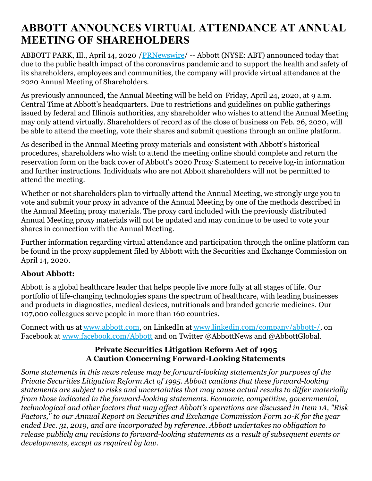## **ABBOTT ANNOUNCES VIRTUAL ATTENDANCE AT ANNUAL MEETING OF SHAREHOLDERS**

ABBOTT PARK, Ill., April 14, 2020 /[PRNewswire](http://www.prnewswire.com/)/ -- Abbott (NYSE: ABT) announced today that due to the public health impact of the coronavirus pandemic and to support the health and safety of its shareholders, employees and communities, the company will provide virtual attendance at the 2020 Annual Meeting of Shareholders.

As previously announced, the Annual Meeting will be held on Friday, April 24, 2020, at 9 a.m. Central Time at Abbott's headquarters. Due to restrictions and guidelines on public gatherings issued by federal and Illinois authorities, any shareholder who wishes to attend the Annual Meeting may only attend virtually. Shareholders of record as of the close of business on Feb. 26, 2020, will be able to attend the meeting, vote their shares and submit questions through an online platform.

As described in the Annual Meeting proxy materials and consistent with Abbott's historical procedures, shareholders who wish to attend the meeting online should complete and return the reservation form on the back cover of Abbott's 2020 Proxy Statement to receive log-in information and further instructions. Individuals who are not Abbott shareholders will not be permitted to attend the meeting.

Whether or not shareholders plan to virtually attend the Annual Meeting, we strongly urge you to vote and submit your proxy in advance of the Annual Meeting by one of the methods described in the Annual Meeting proxy materials. The proxy card included with the previously distributed Annual Meeting proxy materials will not be updated and may continue to be used to vote your shares in connection with the Annual Meeting.

Further information regarding virtual attendance and participation through the online platform can be found in the proxy supplement filed by Abbott with the Securities and Exchange Commission on April 14, 2020.

## **About Abbott:**

Abbott is a global healthcare leader that helps people live more fully at all stages of life. Our portfolio of life-changing technologies spans the spectrum of healthcare, with leading businesses and products in diagnostics, medical devices, nutritionals and branded generic medicines. Our 107,000 colleagues serve people in more than 160 countries.

Connect with us at [www.abbott.com](https://c212.net/c/link/?t=0&l=en&o=2777018-1&h=3228246545&u=https%3A%2F%2Fc212.net%2Fc%2Flink%2F%3Ft%3D0%26l%3Den%26o%3D2755294-1%26h%3D3900664548%26u%3Dhttp%253A%252F%252Fwww.abbott.com%252F%26a%3Dwww.abbott.com&a=www.abbott.com), on LinkedIn at [www.linkedin.com/company/abbott-/](https://c212.net/c/link/?t=0&l=en&o=2777018-1&h=3338924083&u=https%3A%2F%2Fc212.net%2Fc%2Flink%2F%3Ft%3D0%26l%3Den%26o%3D2755294-1%26h%3D3553971968%26u%3Dhttp%253A%252F%252Fwww.linkedin.com%252Fcompany%252Fabbott-%252F%26a%3Dwww.linkedin.com%252Fcompany%252Fabbott-%252F&a=www.linkedin.com%2Fcompany%2Fabbott-%2F), on Facebook at [www.facebook.com/Abbott](https://c212.net/c/link/?t=0&l=en&o=2777018-1&h=3451980078&u=https%3A%2F%2Fc212.net%2Fc%2Flink%2F%3Ft%3D0%26l%3Den%26o%3D2755294-1%26h%3D4108360147%26u%3Dhttp%253A%252F%252Fwww.facebook.com%252FAbbott%26a%3Dwww.facebook.com%252FAbbott&a=www.facebook.com%2FAbbott) and on Twitter @AbbottNews and @AbbottGlobal.

## **Private Securities Litigation Reform Act of 1995 A Caution Concerning Forward-Looking Statements**

*Some statements in this news release may be forward-looking statements for purposes of the Private Securities Litigation Reform Act of 1995. Abbott cautions that these forward-looking statements are subject to risks and uncertainties that may cause actual results to dif er materially from those indicated in the forward-looking statements. Economic, competitive, governmental, technological and other factors that may af ect Abbott's operations are discussed in Item 1A, "Risk Factors," to our Annual Report on Securities and Exchange Commission Form 10-K for the year ended Dec. 31, 2019, and are incorporated by reference. Abbott undertakes no obligation to release publicly any revisions to forward-looking statements as a result of subsequent events or developments, except as required by law.*